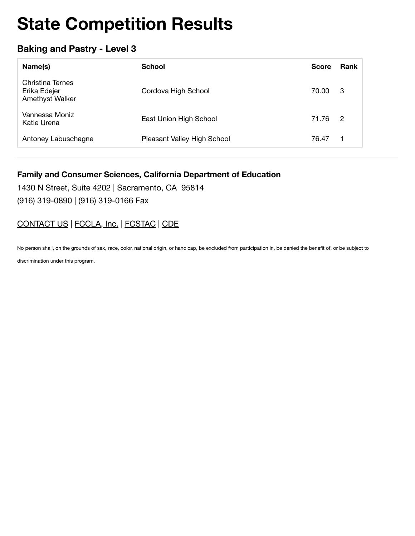## **Baking and Pastry - Level 3**

| Name(s)                                             | <b>School</b>               | <b>Score</b> | <b>Rank</b>    |
|-----------------------------------------------------|-----------------------------|--------------|----------------|
| Christina Ternes<br>Erika Edejer<br>Amethyst Walker | Cordova High School         | 70.00        | - 3            |
| Vannessa Moniz<br>Katie Urena                       | East Union High School      | 71.76        | $\overline{2}$ |
| Antoney Labuschagne                                 | Pleasant Valley High School | 76.47        | 1              |

#### **Family and Consumer Sciences, California Department of Education**

1430 N Street, Suite 4202 | Sacramento, CA 95814 (916) 319-0890 | (916) 319-0166 Fax

### CONTACT US | FCCLA, Inc. | FCSTAC | CDE

No person shall, on the grounds of sex, race, color, national origin, or handicap, be excluded from participation in, be denied the benefit of, or be subject to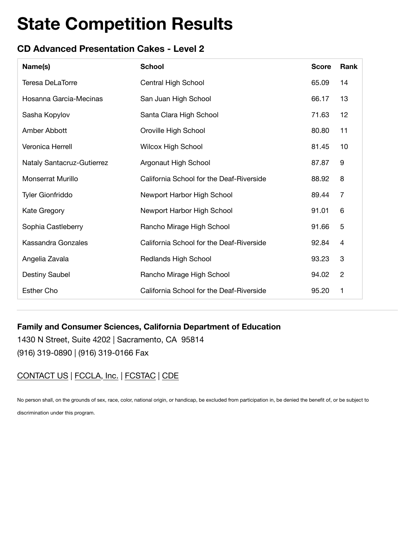# **CD Advanced Presentation Cakes - Level 2**

| Name(s)                    | <b>School</b>                            | <b>Score</b> | Rank                      |
|----------------------------|------------------------------------------|--------------|---------------------------|
| <b>Teresa DeLaTorre</b>    | Central High School                      | 65.09        | 14                        |
| Hosanna Garcia-Mecinas     | San Juan High School                     | 66.17        | 13                        |
| Sasha Kopylov              | Santa Clara High School                  | 71.63        | 12                        |
| Amber Abbott               | Oroville High School                     | 80.80        | 11                        |
| Veronica Herrell           | <b>Wilcox High School</b>                | 81.45        | 10                        |
| Nataly Santacruz-Gutierrez | Argonaut High School                     | 87.87        | 9                         |
| <b>Monserrat Murillo</b>   | California School for the Deaf-Riverside | 88.92        | 8                         |
| <b>Tyler Gionfriddo</b>    | Newport Harbor High School               | 89.44        | 7                         |
| Kate Gregory               | Newport Harbor High School               | 91.01        | 6                         |
| Sophia Castleberry         | Rancho Mirage High School                | 91.66        | 5                         |
| Kassandra Gonzales         | California School for the Deaf-Riverside | 92.84        | $\overline{4}$            |
| Angelia Zavala             | Redlands High School                     | 93.23        | $\ensuremath{\mathsf{3}}$ |
| <b>Destiny Saubel</b>      | Rancho Mirage High School                | 94.02        | $\overline{2}$            |
| <b>Esther Cho</b>          | California School for the Deaf-Riverside | 95.20        | 1                         |

### **Family and Consumer Sciences, California Department of Education**

1430 N Street, Suite 4202 | Sacramento, CA 95814 (916) 319-0890 | (916) 319-0166 Fax

# CONTACT US | FCCLA, Inc. | FCSTAC | CDE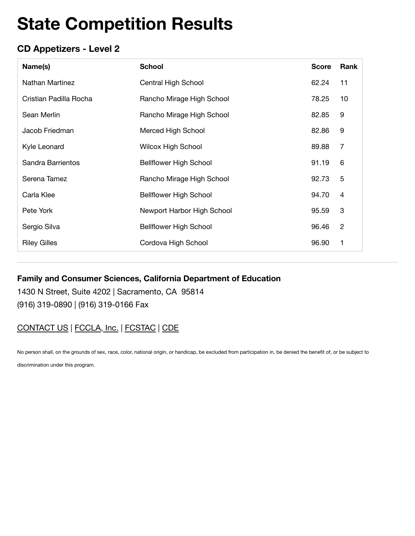# **CD Appetizers - Level 2**

| Name(s)                | <b>School</b>                 | <b>Score</b> | Rank                      |
|------------------------|-------------------------------|--------------|---------------------------|
| Nathan Martinez        | Central High School           | 62.24        | 11                        |
| Cristian Padilla Rocha | Rancho Mirage High School     | 78.25        | 10                        |
| Sean Merlin            | Rancho Mirage High School     | 82.85        | 9                         |
| Jacob Friedman         | Merced High School            | 82.86        | 9                         |
| Kyle Leonard           | Wilcox High School            | 89.88        | 7                         |
| Sandra Barrientos      | <b>Bellflower High School</b> | 91.19        | 6                         |
| Serena Tamez           | Rancho Mirage High School     | 92.73        | 5                         |
| Carla Klee             | <b>Bellflower High School</b> | 94.70        | $\overline{4}$            |
| Pete York              | Newport Harbor High School    | 95.59        | $\ensuremath{\mathsf{3}}$ |
| Sergio Silva           | <b>Bellflower High School</b> | 96.46        | $\overline{2}$            |
| <b>Riley Gilles</b>    | Cordova High School           | 96.90        | 1                         |

#### **Family and Consumer Sciences, California Department of Education**

1430 N Street, Suite 4202 | Sacramento, CA 95814 (916) 319-0890 | (916) 319-0166 Fax

### CONTACT US | FCCLA, Inc. | FCSTAC | CDE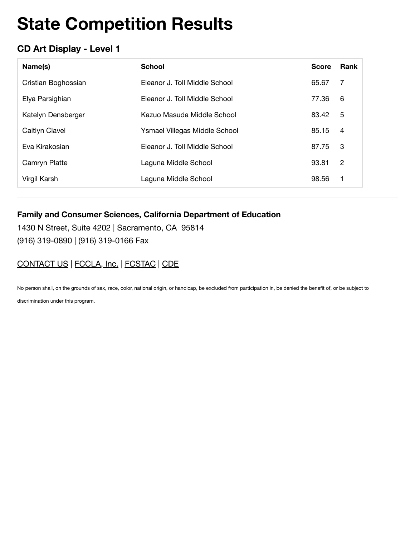# **CD Art Display - Level 1**

| Name(s)             | <b>School</b>                 | <b>Score</b> | Rank           |
|---------------------|-------------------------------|--------------|----------------|
| Cristian Boghossian | Eleanor J. Toll Middle School | 65.67        | 7              |
| Elya Parsighian     | Eleanor J. Toll Middle School | 77.36        | 6              |
| Katelyn Densberger  | Kazuo Masuda Middle School    | 83.42        | 5              |
| Caitlyn Clavel      | Ysmael Villegas Middle School | 85.15        | 4              |
| Eva Kirakosian      | Eleanor J. Toll Middle School | 87.75        | 3              |
| Camryn Platte       | Laguna Middle School          | 93.81        | $\overline{2}$ |
| Virgil Karsh        | Laguna Middle School          | 98.56        | 1              |

#### **Family and Consumer Sciences, California Department of Education**

1430 N Street, Suite 4202 | Sacramento, CA 95814 (916) 319-0890 | (916) 319-0166 Fax

### CONTACT US | FCCLA, Inc. | FCSTAC | CDE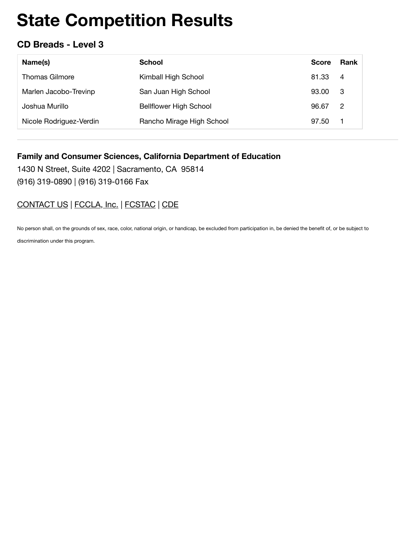### **CD Breads - Level 3**

| Name(s)                 | School                        | <b>Score</b> | Rank           |
|-------------------------|-------------------------------|--------------|----------------|
| <b>Thomas Gilmore</b>   | Kimball High School           | 81.33        | $\overline{4}$ |
| Marlen Jacobo-Trevinp   | San Juan High School          | 93.00        | - 3            |
| Joshua Murillo          | <b>Bellflower High School</b> | 96.67        | $\overline{2}$ |
| Nicole Rodriguez-Verdin | Rancho Mirage High School     | 97.50        | 1              |

#### **Family and Consumer Sciences, California Department of Education**

1430 N Street, Suite 4202 | Sacramento, CA 95814 (916) 319-0890 | (916) 319-0166 Fax

## [CONTACT US](https://www.ca-fccla.org/!trash/contact-us/) | [FCCLA, Inc.](http://www.fcclainc.org/) | [FCSTAC](https://www.fcstac.org/) | [CDE](http://www.cde.ca.gov/ci/ct/he/)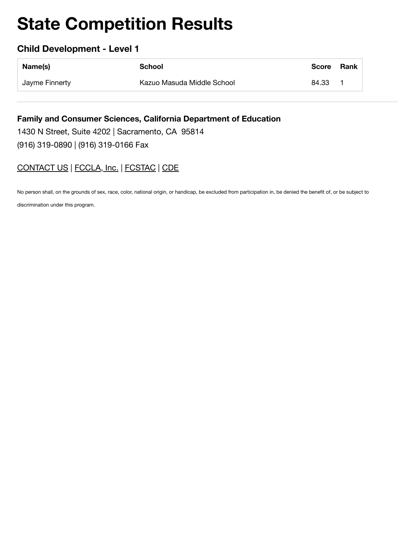### **Child Development - Level 1**

| Name(s)        | School                     | <b>Score</b> | Rank |
|----------------|----------------------------|--------------|------|
| Jayme Finnerty | Kazuo Masuda Middle School | 84.33        |      |

**Family and Consumer Sciences, California Department of Education** 1430 N Street, Suite 4202 | Sacramento, CA 95814 (916) 319-0890 | (916) 319-0166 Fax

## CONTACT US | FCCLA, Inc. | FCSTAC | CDE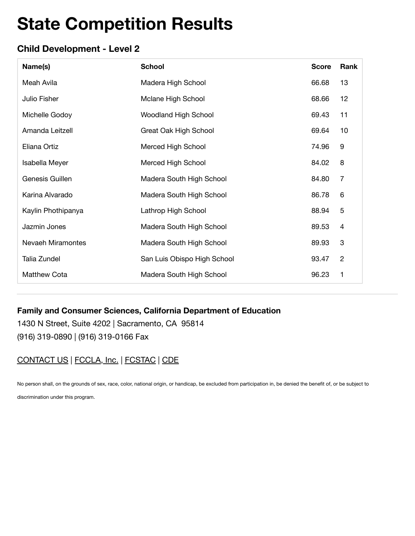### **Child Development - Level 2**

| Name(s)                  | <b>School</b>               | <b>Score</b> | Rank             |
|--------------------------|-----------------------------|--------------|------------------|
| Meah Avila               | Madera High School          | 66.68        | 13               |
| Julio Fisher             | Mclane High School          | 68.66        | 12               |
| Michelle Godoy           | <b>Woodland High School</b> | 69.43        | 11               |
| Amanda Leitzell          | Great Oak High School       | 69.64        | 10               |
| Eliana Ortiz             | Merced High School          | 74.96        | $\boldsymbol{9}$ |
| Isabella Meyer           | Merced High School          | 84.02        | 8                |
| Genesis Guillen          | Madera South High School    | 84.80        | $\overline{7}$   |
| Karina Alvarado          | Madera South High School    | 86.78        | 6                |
| Kaylin Phothipanya       | Lathrop High School         | 88.94        | 5                |
| Jazmin Jones             | Madera South High School    | 89.53        | $\overline{4}$   |
| <b>Nevaeh Miramontes</b> | Madera South High School    | 89.93        | $\mathbf{3}$     |
| Talia Zundel             | San Luis Obispo High School | 93.47        | $\overline{c}$   |
| <b>Matthew Cota</b>      | Madera South High School    | 96.23        | 1                |

### **Family and Consumer Sciences, California Department of Education**

1430 N Street, Suite 4202 | Sacramento, CA 95814 (916) 319-0890 | (916) 319-0166 Fax

### CONTACT US | FCCLA, Inc. | FCSTAC | CDE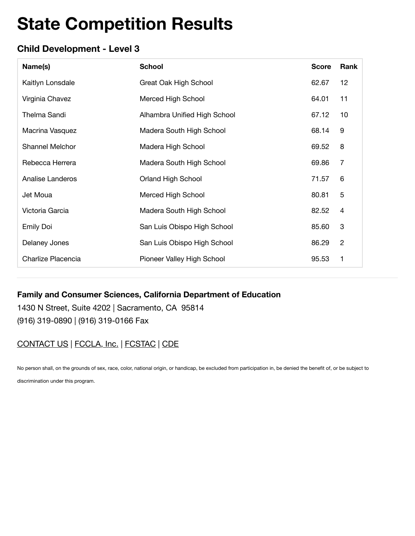# **Child Development - Level 3**

| Name(s)                 | <b>School</b>                | <b>Score</b> | Rank                      |
|-------------------------|------------------------------|--------------|---------------------------|
| Kaitlyn Lonsdale        | Great Oak High School        | 62.67        | 12                        |
| Virginia Chavez         | Merced High School           | 64.01        | 11                        |
| Thelma Sandi            | Alhambra Unified High School | 67.12        | 10                        |
| Macrina Vasquez         | Madera South High School     | 68.14        | 9                         |
| Shannel Melchor         | Madera High School           | 69.52        | 8                         |
| Rebecca Herrera         | Madera South High School     | 69.86        | 7                         |
| <b>Analise Landeros</b> | Orland High School           | 71.57        | 6                         |
| Jet Moua                | Merced High School           | 80.81        | 5                         |
| Victoria Garcia         | Madera South High School     | 82.52        | $\overline{4}$            |
| <b>Emily Doi</b>        | San Luis Obispo High School  | 85.60        | $\ensuremath{\mathsf{3}}$ |
| Delaney Jones           | San Luis Obispo High School  | 86.29        | $\overline{2}$            |
| Charlize Placencia      | Pioneer Valley High School   | 95.53        | 1                         |

### **Family and Consumer Sciences, California Department of Education**

1430 N Street, Suite 4202 | Sacramento, CA 95814 (916) 319-0890 | (916) 319-0166 Fax

# CONTACT US | FCCLA, Inc. | FCSTAC | CDE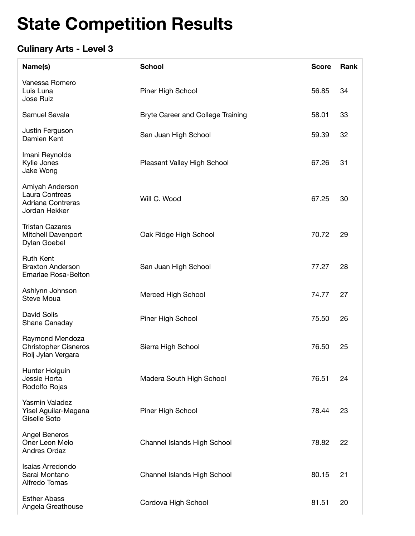# **Culinary Arts - Level 3**

| Name(s)                                                                   | <b>School</b>                            | <b>Score</b> | Rank |
|---------------------------------------------------------------------------|------------------------------------------|--------------|------|
| Vanessa Romero<br>Luis Luna<br><b>Jose Ruiz</b>                           | Piner High School                        | 56.85        | 34   |
| Samuel Savala                                                             | <b>Bryte Career and College Training</b> | 58.01        | 33   |
| Justin Ferguson<br>Damien Kent                                            | San Juan High School                     | 59.39        | 32   |
| Imani Reynolds<br>Kylie Jones<br>Jake Wong                                | Pleasant Valley High School              | 67.26        | 31   |
| Amiyah Anderson<br>Laura Contreas<br>Adriana Contreras<br>Jordan Hekker   | Will C. Wood                             | 67.25        | 30   |
| <b>Tristan Cazares</b><br>Mitchell Davenport<br>Dylan Goebel              | Oak Ridge High School                    | 70.72        | 29   |
| <b>Ruth Kent</b><br><b>Braxton Anderson</b><br><b>Emariae Rosa-Belton</b> | San Juan High School                     | 77.27        | 28   |
| Ashlynn Johnson<br>Steve Moua                                             | Merced High School                       | 74.77        | 27   |
| David Solis<br>Shane Canaday                                              | Piner High School                        | 75.50        | 26   |
| Raymond Mendoza<br><b>Christopher Cisneros</b><br>Rolj Jylan Vergara      | Sierra High School                       | 76.50        | 25   |
| Hunter Holguin<br>Jessie Horta<br>Rodolfo Rojas                           | Madera South High School                 | 76.51        | 24   |
| Yasmin Valadez<br>Yisel Aguilar-Magana<br>Giselle Soto                    | Piner High School                        | 78.44        | 23   |
| <b>Angel Beneros</b><br>Oner Leon Melo<br><b>Andres Ordaz</b>             | <b>Channel Islands High School</b>       | 78.82        | 22   |
| <b>Isaias Arredondo</b><br>Sarai Montano<br>Alfredo Tomas                 | <b>Channel Islands High School</b>       | 80.15        | 21   |
| <b>Esther Abass</b><br>Angela Greathouse                                  | Cordova High School                      | 81.51        | 20   |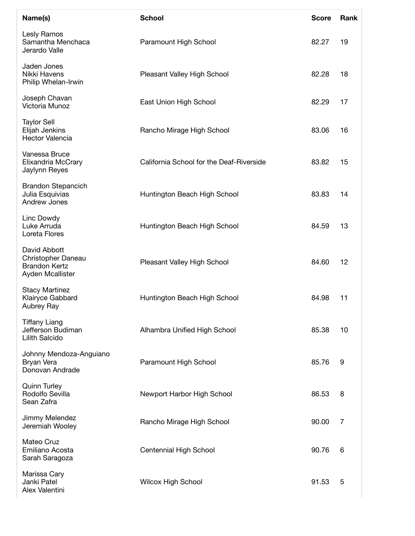| Name(s)                                                                        | <b>School</b>                            | <b>Score</b> | Rank |
|--------------------------------------------------------------------------------|------------------------------------------|--------------|------|
| Lesly Ramos<br>Samantha Menchaca<br>Jerardo Valle                              | Paramount High School                    | 82.27        | 19   |
| Jaden Jones<br>Nikki Havens<br>Philip Whelan-Irwin                             | Pleasant Valley High School              | 82.28        | 18   |
| Joseph Chavan<br>Victoria Munoz                                                | East Union High School                   | 82.29        | 17   |
| <b>Taylor Sell</b><br>Elijah Jenkins<br><b>Hector Valencia</b>                 | Rancho Mirage High School                | 83.06        | 16   |
| Vanessa Bruce<br>Elixandria McCrary<br>Jaylynn Reyes                           | California School for the Deaf-Riverside | 83.82        | 15   |
| <b>Brandon Stepancich</b><br>Julia Esquivias<br>Andrew Jones                   | Huntington Beach High School             | 83.83        | 14   |
| Linc Dowdy<br>Luke Arruda<br>Loreta Flores                                     | Huntington Beach High School             | 84.59        | 13   |
| David Abbott<br>Christopher Daneau<br><b>Brandon Kertz</b><br>Ayden Mcallister | Pleasant Valley High School              | 84.60        | 12   |
| <b>Stacy Martinez</b><br>Klairyce Gabbard<br>Aubrey Ray                        | Huntington Beach High School             | 84.98        | 11   |
| <b>Tiffany Liang</b><br>Jefferson Budiman<br>Lilith Salcido                    | Alhambra Unified High School             | 85.38        | 10   |
| Johnny Mendoza-Anguiano<br>Bryan Vera<br>Donovan Andrade                       | Paramount High School                    | 85.76        | 9    |
| <b>Quinn Turley</b><br>Rodolfo Sevilla<br>Sean Zafra                           | Newport Harbor High School               | 86.53        | 8    |
| Jimmy Melendez<br>Jeremiah Wooley                                              | Rancho Mirage High School                | 90.00        | 7    |
| Mateo Cruz<br>Emiliano Acosta<br>Sarah Saragoza                                | Centennial High School                   | 90.76        | 6    |
| Marissa Cary<br>Janki Patel<br>Alex Valentini                                  | <b>Wilcox High School</b>                | 91.53        | 5    |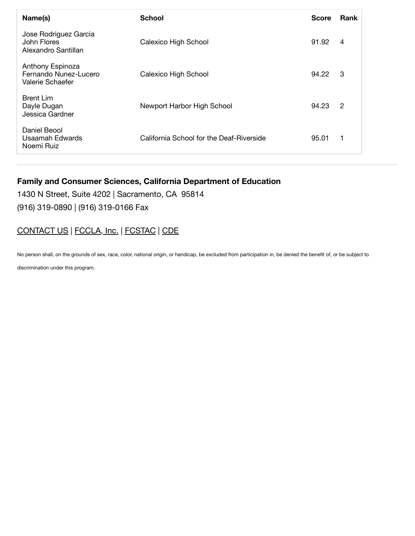| Name(s)                                                       | <b>School</b>                            | <b>Score</b> | <b>Rank</b>    |
|---------------------------------------------------------------|------------------------------------------|--------------|----------------|
| Jose Rodriguez Garcia<br>John Flores<br>Alexandro Santillan   | Calexico High School                     | 91.92        | 4              |
| Anthony Espinoza<br>Fernando Nunez-Lucero<br>Valerie Schaefer | Calexico High School                     | 94.22        | 3              |
| <b>Brent Lim</b><br>Dayle Dugan<br>Jessica Gardner            | Newport Harbor High School               | 94.23        | $\overline{2}$ |
| Daniel Beool<br>Usaamah Edwards<br>Noemi Ruiz                 | California School for the Deaf-Riverside | 95.01        | 1              |

#### **Family and Consumer Sciences, California Department of Education**

1430 N Street, Suite 4202 | Sacramento, CA 95814 (916) 319-0890 | (916) 319-0166 Fax

### CONTACT US | FCCLA, Inc. | FCSTAC | CDE

No person shall, on the grounds of sex, race, color, national origin, or handicap, be excluded from participation in, be denied the benefit of, or be subject to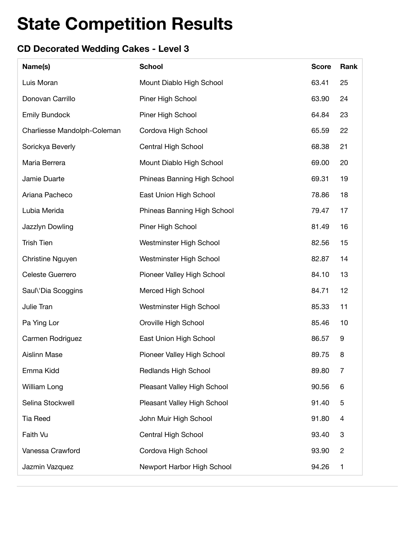# **CD Decorated Wedding Cakes - Level 3**

| Name(s)                     | <b>School</b>               | <b>Score</b> | Rank           |
|-----------------------------|-----------------------------|--------------|----------------|
| Luis Moran                  | Mount Diablo High School    | 63.41        | 25             |
| Donovan Carrillo            | Piner High School           | 63.90        | 24             |
| <b>Emily Bundock</b>        | Piner High School           | 64.84        | 23             |
| Charliesse Mandolph-Coleman | Cordova High School         | 65.59        | 22             |
| Sorickya Beverly            | Central High School         | 68.38        | 21             |
| Maria Berrera               | Mount Diablo High School    | 69.00        | 20             |
| Jamie Duarte                | Phineas Banning High School | 69.31        | 19             |
| Ariana Pacheco              | East Union High School      | 78.86        | 18             |
| Lubia Merida                | Phineas Banning High School | 79.47        | 17             |
| Jazzlyn Dowling             | Piner High School           | 81.49        | 16             |
| <b>Trish Tien</b>           | Westminster High School     | 82.56        | 15             |
| Christine Nguyen            | Westminster High School     | 82.87        | 14             |
| Celeste Guerrero            | Pioneer Valley High School  | 84.10        | 13             |
| Saul\'Dia Scoggins          | <b>Merced High School</b>   | 84.71        | 12             |
| Julie Tran                  | Westminster High School     | 85.33        | 11             |
| Pa Ying Lor                 | Oroville High School        | 85.46        | 10             |
| Carmen Rodriguez            | East Union High School      | 86.57        | 9              |
| <b>Aislinn Mase</b>         | Pioneer Valley High School  | 89.75        | 8              |
| Emma Kidd                   | <b>Redlands High School</b> | 89.80        | 7              |
| William Long                | Pleasant Valley High School | 90.56        | 6              |
| Selina Stockwell            | Pleasant Valley High School | 91.40        | 5              |
| <b>Tia Reed</b>             | John Muir High School       | 91.80        | 4              |
| Faith Vu                    | Central High School         | 93.40        | 3              |
| Vanessa Crawford            | Cordova High School         | 93.90        | $\overline{c}$ |
| Jazmin Vazquez              | Newport Harbor High School  | 94.26        | 1              |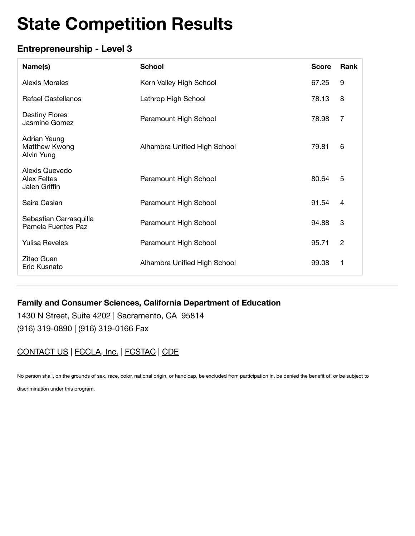## **Entrepreneurship - Level 3**

| Name(s)                                               | <b>School</b>                | <b>Score</b> | Rank           |
|-------------------------------------------------------|------------------------------|--------------|----------------|
| Alexis Morales                                        | Kern Valley High School      | 67.25        | 9              |
| <b>Rafael Castellanos</b>                             | Lathrop High School          | 78.13        | 8              |
| <b>Destiny Flores</b><br>Jasmine Gomez                | Paramount High School        | 78.98        | 7              |
| Adrian Yeung<br>Matthew Kwong<br>Alvin Yung           | Alhambra Unified High School | 79.81        | 6              |
| Alexis Quevedo<br><b>Alex Feltes</b><br>Jalen Griffin | Paramount High School        | 80.64        | 5              |
| Saira Casian                                          | Paramount High School        | 91.54        | $\overline{4}$ |
| Sebastian Carrasquilla<br>Pamela Fuentes Paz          | Paramount High School        | 94.88        | 3              |
| <b>Yulisa Reveles</b>                                 | Paramount High School        | 95.71        | $\mathbf{2}$   |
| Zitao Guan<br>Eric Kusnato                            | Alhambra Unified High School | 99.08        | 1              |

### **Family and Consumer Sciences, California Department of Education**

1430 N Street, Suite 4202 | Sacramento, CA 95814 (916) 319-0890 | (916) 319-0166 Fax

### CONTACT US | FCCLA, Inc. | FCSTAC | CDE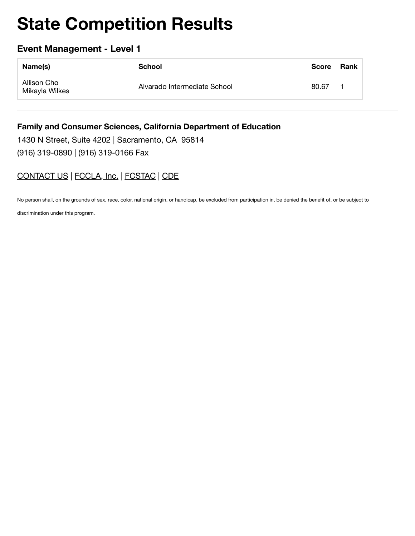### **Event Management - Level 1**

| Name(s)                       | School                       | <b>Score</b> | Rank |
|-------------------------------|------------------------------|--------------|------|
| Allison Cho<br>Mikayla Wilkes | Alvarado Intermediate School | 80.67        |      |

#### **Family and Consumer Sciences, California Department of Education**

1430 N Street, Suite 4202 | Sacramento, CA 95814 (916) 319-0890 | (916) 319-0166 Fax

### CONTACT US | FCCLA, Inc. | FCSTAC | CDE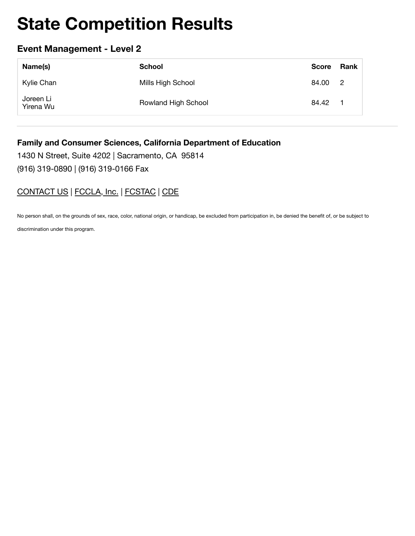### **Event Management - Level 2**

| Name(s)                | School              | <b>Score</b> | Rank                       |
|------------------------|---------------------|--------------|----------------------------|
| Kylie Chan             | Mills High School   | 84.00        | $\overline{\phantom{0}}^2$ |
| Joreen Li<br>Yirena Wu | Rowland High School | 84.42        | $\blacksquare$             |

#### **Family and Consumer Sciences, California Department of Education**

1430 N Street, Suite 4202 | Sacramento, CA 95814 (916) 319-0890 | (916) 319-0166 Fax

### CONTACT US | FCCLA, Inc. | FCSTAC | CDE

No person shall, on the grounds of sex, race, color, national origin, or handicap, be excluded from participation in, be denied the benefit of, or be subject to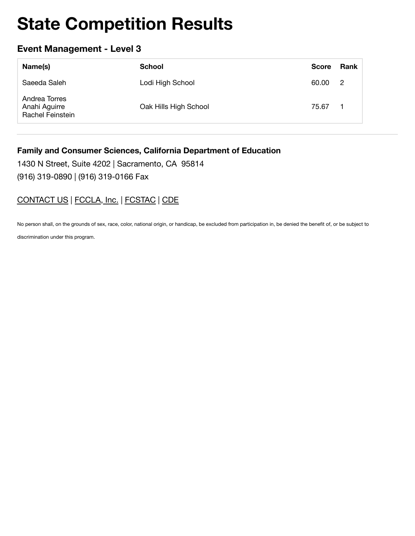### **Event Management - Level 3**

| Name(s)                                            | <b>School</b>         | <b>Score</b> | Rank |
|----------------------------------------------------|-----------------------|--------------|------|
| Saeeda Saleh                                       | Lodi High School      | 60.00        | -2   |
| Andrea Torres<br>Anahi Aguirre<br>Rachel Feinstein | Oak Hills High School | 75.67        |      |

#### **Family and Consumer Sciences, California Department of Education**

1430 N Street, Suite 4202 | Sacramento, CA 95814

(916) 319-0890 | (916) 319-0166 Fax

### CONTACT US | FCCLA, Inc. | FCSTAC | CDE

No person shall, on the grounds of sex, race, color, national origin, or handicap, be excluded from participation in, be denied the benefit of, or be subject to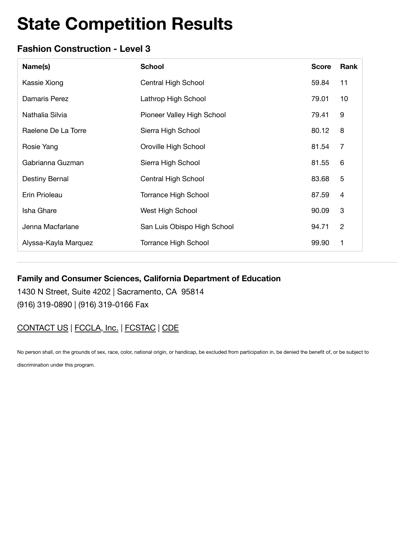## **Fashion Construction - Level 3**

| Name(s)              | <b>School</b>               | <b>Score</b> | Rank                      |
|----------------------|-----------------------------|--------------|---------------------------|
| Kassie Xiong         | Central High School         | 59.84        | 11                        |
| Damaris Perez        | Lathrop High School         | 79.01        | 10                        |
| Nathalia Silvia      | Pioneer Valley High School  | 79.41        | 9                         |
| Raelene De La Torre  | Sierra High School          | 80.12        | 8                         |
| Rosie Yang           | Oroville High School        | 81.54        | 7                         |
| Gabrianna Guzman     | Sierra High School          | 81.55        | 6                         |
| Destiny Bernal       | Central High School         | 83.68        | 5                         |
| Erin Prioleau        | <b>Torrance High School</b> | 87.59        | $\overline{4}$            |
| Isha Ghare           | West High School            | 90.09        | $\ensuremath{\mathsf{3}}$ |
| Jenna Macfarlane     | San Luis Obispo High School | 94.71        | $\overline{2}$            |
| Alyssa-Kayla Marquez | <b>Torrance High School</b> | 99.90        | 1                         |

### **Family and Consumer Sciences, California Department of Education**

1430 N Street, Suite 4202 | Sacramento, CA 95814 (916) 319-0890 | (916) 319-0166 Fax

# CONTACT US | FCCLA, Inc. | FCSTAC | CDE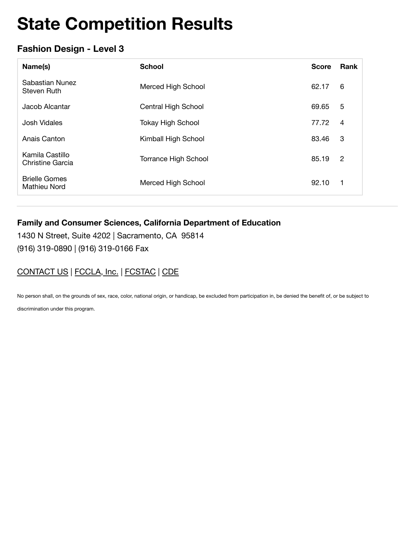## **Fashion Design - Level 3**

| Name(s)                                     | <b>School</b>               | <b>Score</b> | Rank           |
|---------------------------------------------|-----------------------------|--------------|----------------|
| Sabastian Nunez<br>Steven Ruth              | Merced High School          | 62.17        | 6              |
| Jacob Alcantar                              | Central High School         | 69.65        | 5              |
| <b>Josh Vidales</b>                         | <b>Tokay High School</b>    | 77.72        | $\overline{4}$ |
| Anais Canton                                | Kimball High School         | 83.46        | 3              |
| Kamila Castillo<br>Christine Garcia         | <b>Torrance High School</b> | 85.19        | $\overline{2}$ |
| <b>Brielle Gomes</b><br><b>Mathieu Nord</b> | Merced High School          | 92.10        | 1              |

### **Family and Consumer Sciences, California Department of Education**

1430 N Street, Suite 4202 | Sacramento, CA 95814 (916) 319-0890 | (916) 319-0166 Fax

## CONTACT US | FCCLA, Inc. | FCSTAC | CDE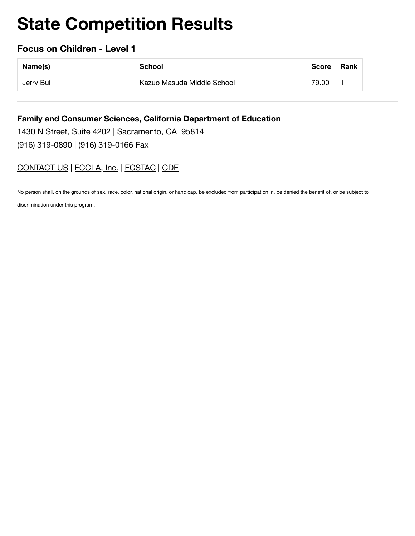### **Focus on Children - Level 1**

| Name(s)   | School                     | <b>Score</b> | Rank |
|-----------|----------------------------|--------------|------|
| Jerry Bui | Kazuo Masuda Middle School | 79.00        |      |

**Family and Consumer Sciences, California Department of Education** 1430 N Street, Suite 4202 | Sacramento, CA 95814 (916) 319-0890 | (916) 319-0166 Fax

## CONTACT US | FCCLA, Inc. | FCSTAC | CDE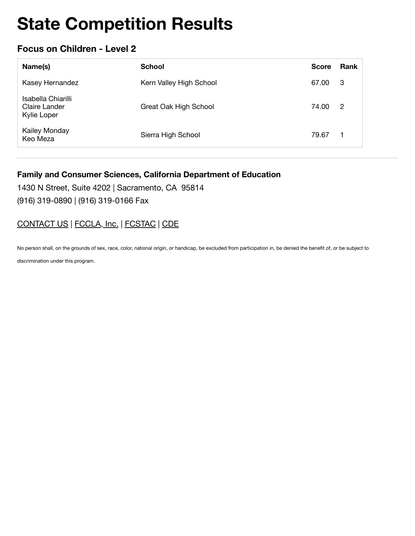### **Focus on Children - Level 2**

| Name(s)                                            | <b>School</b>           | <b>Score</b> | Rank           |
|----------------------------------------------------|-------------------------|--------------|----------------|
| Kasey Hernandez                                    | Kern Valley High School | 67.00        | - 3            |
| Isabella Chiarilli<br>Claire Lander<br>Kylie Loper | Great Oak High School   | 74.00        | $\overline{2}$ |
| Kailey Monday<br>Keo Meza                          | Sierra High School      | 79.67        | 1              |

#### **Family and Consumer Sciences, California Department of Education**

1430 N Street, Suite 4202 | Sacramento, CA 95814

(916) 319-0890 | (916) 319-0166 Fax

### CONTACT US | FCCLA, Inc. | FCSTAC | CDE

No person shall, on the grounds of sex, race, color, national origin, or handicap, be excluded from participation in, be denied the benefit of, or be subject to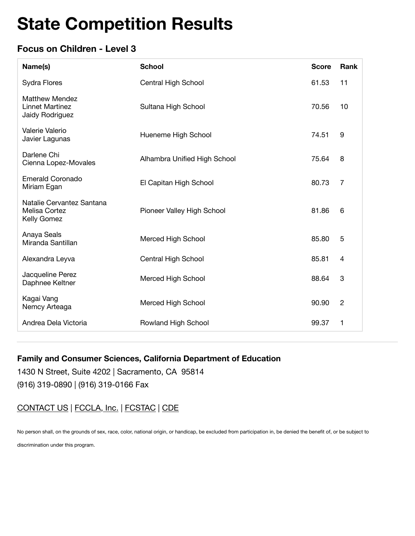## **Focus on Children - Level 3**

| Name(s)                                                            | <b>School</b>                | <b>Score</b> | Rank           |
|--------------------------------------------------------------------|------------------------------|--------------|----------------|
| Sydra Flores                                                       | Central High School          | 61.53        | 11             |
| <b>Matthew Mendez</b><br><b>Linnet Martinez</b><br>Jaidy Rodriguez | Sultana High School          | 70.56        | 10             |
| Valerie Valerio<br>Javier Lagunas                                  | Hueneme High School          | 74.51        | 9              |
| Darlene Chi<br>Cienna Lopez-Movales                                | Alhambra Unified High School | 75.64        | 8              |
| <b>Emerald Coronado</b><br>Miriam Egan                             | El Capitan High School       | 80.73        | 7              |
| Natalie Cervantez Santana<br>Melisa Cortez<br>Kelly Gomez          | Pioneer Valley High School   | 81.86        | 6              |
| Anaya Seals<br>Miranda Santillan                                   | <b>Merced High School</b>    | 85.80        | 5              |
| Alexandra Leyva                                                    | Central High School          | 85.81        | 4              |
| Jacqueline Perez<br>Daphnee Keltner                                | <b>Merced High School</b>    | 88.64        | 3              |
| Kagai Vang<br>Nemcy Arteaga                                        | Merced High School           | 90.90        | $\overline{c}$ |
| Andrea Dela Victoria                                               | Rowland High School          | 99.37        | 1              |

#### **Family and Consumer Sciences, California Department of Education**

1430 N Street, Suite 4202 | Sacramento, CA 95814 (916) 319-0890 | (916) 319-0166 Fax

CONTACT US | FCCLA, Inc. | FCSTAC | CDE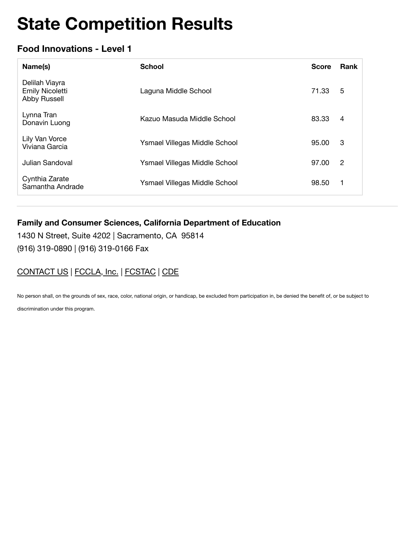## **Food Innovations - Level 1**

| Name(s)                                                         | <b>School</b>                 | <b>Score</b> | Rank           |
|-----------------------------------------------------------------|-------------------------------|--------------|----------------|
| Delilah Viayra<br><b>Emily Nicoletti</b><br><b>Abby Russell</b> | Laguna Middle School          | 71.33        | 5              |
| Lynna Tran<br>Donavin Luong                                     | Kazuo Masuda Middle School    | 83.33        | $\overline{4}$ |
| Lily Van Vorce<br>Viviana Garcia                                | Ysmael Villegas Middle School | 95.00        | 3              |
| Julian Sandoval                                                 | Ysmael Villegas Middle School | 97.00        | 2              |
| Cynthia Zarate<br>Samantha Andrade                              | Ysmael Villegas Middle School | 98.50        | 1              |

### **Family and Consumer Sciences, California Department of Education**

1430 N Street, Suite 4202 | Sacramento, CA 95814 (916) 319-0890 | (916) 319-0166 Fax

## CONTACT US | FCCLA, Inc. | FCSTAC | CDE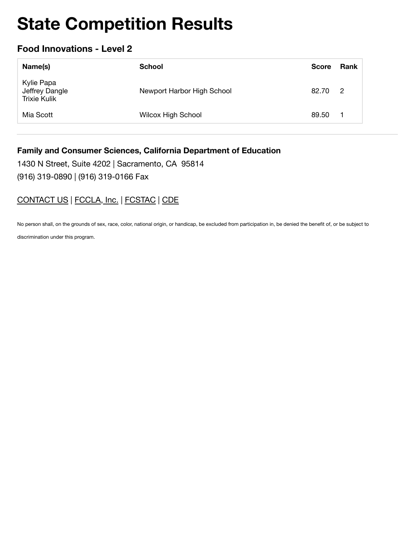## **Food Innovations - Level 2**

| Name(s)                                      | <b>School</b>              | <b>Score</b> | Rank           |
|----------------------------------------------|----------------------------|--------------|----------------|
| Kylie Papa<br>Jeffrey Dangle<br>Trixie Kulik | Newport Harbor High School | 82.70        | $\overline{2}$ |
| Mia Scott                                    | <b>Wilcox High School</b>  | 89.50        | -1             |

#### **Family and Consumer Sciences, California Department of Education**

1430 N Street, Suite 4202 | Sacramento, CA 95814 (916) 319-0890 | (916) 319-0166 Fax

### CONTACT US | FCCLA, Inc. | FCSTAC | CDE

No person shall, on the grounds of sex, race, color, national origin, or handicap, be excluded from participation in, be denied the benefit of, or be subject to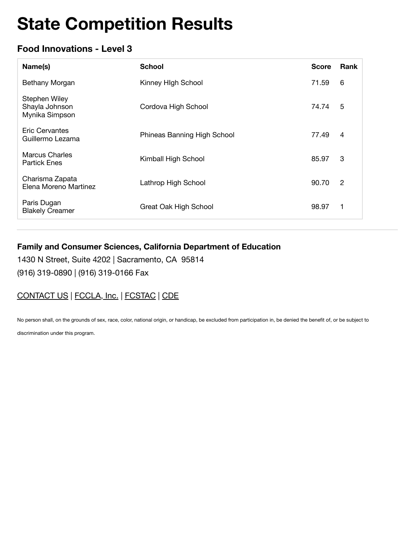## **Food Innovations - Level 3**

| Name(s)                                           | <b>School</b>               | <b>Score</b> | Rank           |
|---------------------------------------------------|-----------------------------|--------------|----------------|
| Bethany Morgan                                    | Kinney High School          | 71.59        | 6              |
| Stephen Wiley<br>Shayla Johnson<br>Mynika Simpson | Cordova High School         | 74.74        | 5              |
| Eric Cervantes<br>Guillermo Lezama                | Phineas Banning High School | 77.49        | 4              |
| <b>Marcus Charles</b><br><b>Partick Enes</b>      | Kimball High School         | 85.97        | 3              |
| Charisma Zapata<br>Elena Moreno Martinez          | Lathrop High School         | 90.70        | $\overline{2}$ |
| Paris Dugan<br><b>Blakely Creamer</b>             | Great Oak High School       | 98.97        | 1              |

### **Family and Consumer Sciences, California Department of Education**

1430 N Street, Suite 4202 | Sacramento, CA 95814 (916) 319-0890 | (916) 319-0166 Fax

# CONTACT US | FCCLA, Inc. | FCSTAC | CDE

No person shall, on the grounds of sex, race, color, national origin, or handicap, be excluded from participation in, be denied the benefit of, or be subject to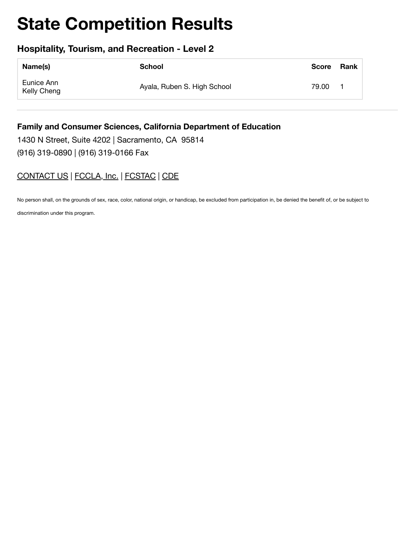### **Hospitality, Tourism, and Recreation - Level 2**

| Name(s)                   | School                      | <b>Score</b> | Rank |
|---------------------------|-----------------------------|--------------|------|
| Eunice Ann<br>Kelly Cheng | Ayala, Ruben S. High School | 79.00        |      |

#### **Family and Consumer Sciences, California Department of Education**

1430 N Street, Suite 4202 | Sacramento, CA 95814 (916) 319-0890 | (916) 319-0166 Fax

### CONTACT US | FCCLA, Inc. | FCSTAC | CDE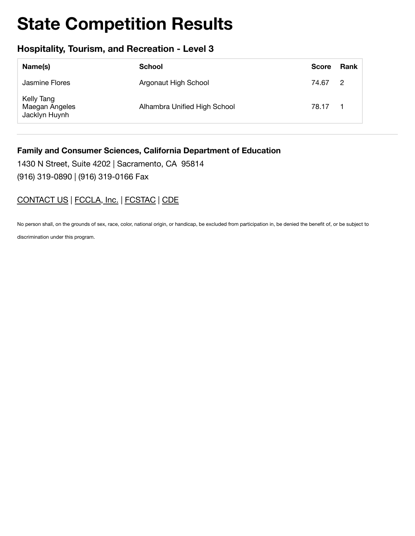### **Hospitality, Tourism, and Recreation - Level 3**

| Name(s)                                       | <b>School</b>                | <b>Score</b> | Rank |
|-----------------------------------------------|------------------------------|--------------|------|
| Jasmine Flores                                | Argonaut High School         | 74.67 2      |      |
| Kelly Tang<br>Maegan Angeles<br>Jacklyn Huynh | Alhambra Unified High School | 78.17        |      |

#### **Family and Consumer Sciences, California Department of Education**

1430 N Street, Suite 4202 | Sacramento, CA 95814 (916) 319-0890 | (916) 319-0166 Fax

# CONTACT US | FCCLA, Inc. | FCSTAC | CDE

No person shall, on the grounds of sex, race, color, national origin, or handicap, be excluded from participation in, be denied the benefit of, or be subject to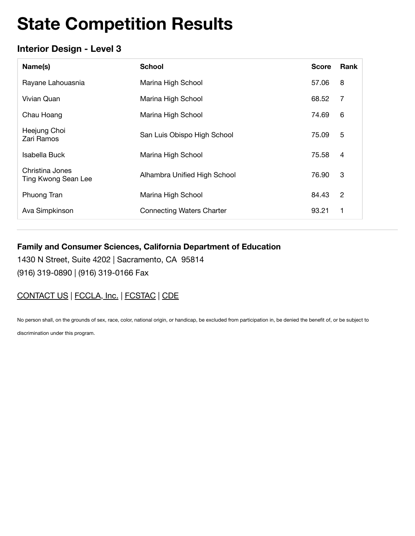## **Interior Design - Level 3**

| Name(s)                                | <b>School</b>                    | <b>Score</b> | <b>Rank</b>    |
|----------------------------------------|----------------------------------|--------------|----------------|
| Rayane Lahouasnia                      | Marina High School               | 57.06        | 8              |
| Vivian Quan                            | Marina High School               | 68.52        | 7              |
| Chau Hoang                             | Marina High School               | 74.69        | 6              |
| Heejung Choi<br>Zari Ramos             | San Luis Obispo High School      | 75.09        | 5              |
| Isabella Buck                          | Marina High School               | 75.58        | $\overline{4}$ |
| Christina Jones<br>Ting Kwong Sean Lee | Alhambra Unified High School     | 76.90        | 3              |
| Phuong Tran                            | Marina High School               | 84.43        | 2              |
| Ava Simpkinson                         | <b>Connecting Waters Charter</b> | 93.21        | 1              |

### **Family and Consumer Sciences, California Department of Education**

1430 N Street, Suite 4202 | Sacramento, CA 95814 (916) 319-0890 | (916) 319-0166 Fax

# CONTACT US | FCCLA, Inc. | FCSTAC | CDE

No person shall, on the grounds of sex, race, color, national origin, or handicap, be excluded from participation in, be denied the benefit of, or be subject to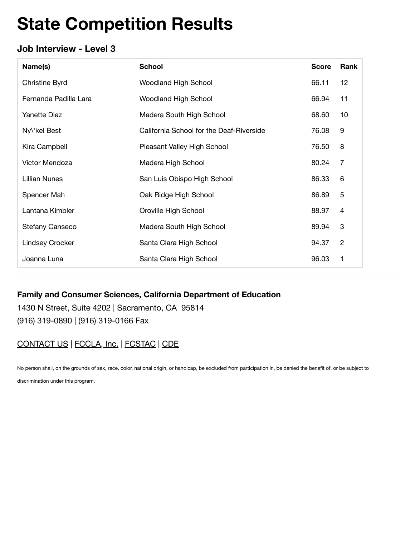## **Job Interview - Level 3**

| Name(s)                | <b>School</b>                            | <b>Score</b> | Rank                      |
|------------------------|------------------------------------------|--------------|---------------------------|
| Christine Byrd         | <b>Woodland High School</b>              | 66.11        | 12                        |
| Fernanda Padilla Lara  | <b>Woodland High School</b>              | 66.94        | 11                        |
| <b>Yanette Diaz</b>    | Madera South High School                 | 68.60        | 10                        |
| Ny\'kel Best           | California School for the Deaf-Riverside | 76.08        | 9                         |
| Kira Campbell          | Pleasant Valley High School              | 76.50        | 8                         |
| Victor Mendoza         | Madera High School                       | 80.24        | 7                         |
| <b>Lillian Nunes</b>   | San Luis Obispo High School              | 86.33        | 6                         |
| Spencer Mah            | Oak Ridge High School                    | 86.89        | 5                         |
| Lantana Kimbler        | Oroville High School                     | 88.97        | $\overline{4}$            |
| <b>Stefany Canseco</b> | Madera South High School                 | 89.94        | $\ensuremath{\mathsf{3}}$ |
| <b>Lindsey Crocker</b> | Santa Clara High School                  | 94.37        | $\overline{2}$            |
| Joanna Luna            | Santa Clara High School                  | 96.03        | 1                         |

#### **Family and Consumer Sciences, California Department of Education**

1430 N Street, Suite 4202 | Sacramento, CA 95814 (916) 319-0890 | (916) 319-0166 Fax

# CONTACT US | FCCLA, Inc. | FCSTAC | CDE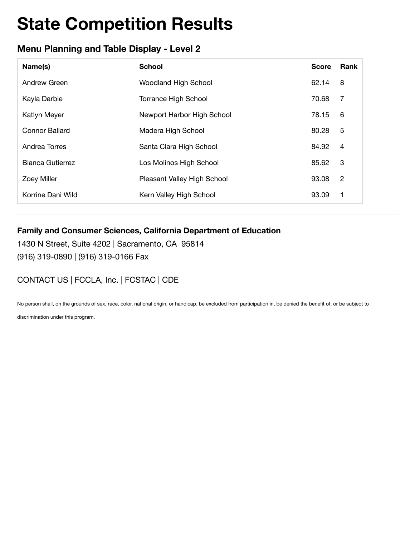# **Menu Planning and Table Display - Level 2**

| Name(s)                 | <b>School</b>               | <b>Score</b> | Rank           |
|-------------------------|-----------------------------|--------------|----------------|
| Andrew Green            | <b>Woodland High School</b> | 62.14        | 8              |
| Kayla Darbie            | <b>Torrance High School</b> | 70.68        | 7              |
| <b>Katlyn Meyer</b>     | Newport Harbor High School  | 78.15        | 6              |
| <b>Connor Ballard</b>   | Madera High School          | 80.28        | 5              |
| Andrea Torres           | Santa Clara High School     | 84.92        | 4              |
| <b>Bianca Gutierrez</b> | Los Molinos High School     | 85.62        | 3              |
| <b>Zoey Miller</b>      | Pleasant Valley High School | 93.08        | $\overline{c}$ |
| Korrine Dani Wild       | Kern Valley High School     | 93.09        | 1              |

### **Family and Consumer Sciences, California Department of Education**

1430 N Street, Suite 4202 | Sacramento, CA 95814 (916) 319-0890 | (916) 319-0166 Fax

# CONTACT US | FCCLA, Inc. | FCSTAC | CDE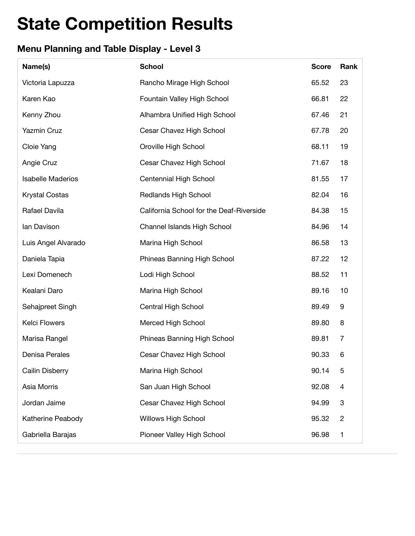# **Menu Planning and Table Display - Level 3**

| Name(s)                  | <b>School</b>                            | <b>Score</b> | Rank           |
|--------------------------|------------------------------------------|--------------|----------------|
| Victoria Lapuzza         | Rancho Mirage High School                | 65.52        | 23             |
| Karen Kao                | Fountain Valley High School              | 66.81        | 22             |
| Kenny Zhou               | Alhambra Unified High School             | 67.46        | 21             |
| <b>Yazmin Cruz</b>       | Cesar Chavez High School                 | 67.78        | 20             |
| Cloie Yang               | Oroville High School                     | 68.11        | 19             |
| Angie Cruz               | Cesar Chavez High School                 | 71.67        | 18             |
| <b>Isabelle Maderios</b> | Centennial High School                   | 81.55        | 17             |
| <b>Krystal Costas</b>    | <b>Redlands High School</b>              | 82.04        | 16             |
| Rafael Davila            | California School for the Deaf-Riverside | 84.38        | 15             |
| lan Davison              | Channel Islands High School              | 84.96        | 14             |
| Luis Angel Alvarado      | Marina High School                       | 86.58        | 13             |
| Daniela Tapia            | Phineas Banning High School              | 87.22        | 12             |
| Lexi Domenech            | Lodi High School                         | 88.52        | 11             |
| Kealani Daro             | Marina High School                       | 89.16        | 10             |
| Sehajpreet Singh         | Central High School                      | 89.49        | 9              |
| <b>Kelci Flowers</b>     | Merced High School                       | 89.80        | 8              |
| Marisa Rangel            | Phineas Banning High School              | 89.81        | 7              |
| Denisa Perales           | Cesar Chavez High School                 | 90.33        | 6              |
| Cailin Disberry          | Marina High School                       | 90.14        | 5              |
| Asia Morris              | San Juan High School                     | 92.08        | 4              |
| Jordan Jaime             | Cesar Chavez High School                 | 94.99        | 3              |
| Katherine Peabody        | <b>Willows High School</b>               | 95.32        | $\overline{c}$ |
| Gabriella Barajas        | Pioneer Valley High School               | 96.98        | 1              |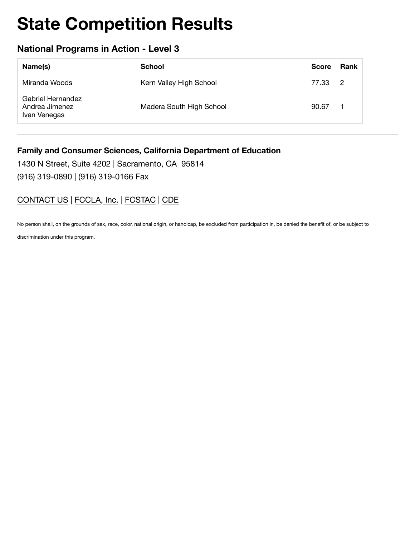## **National Programs in Action - Level 3**

| Name(s)                                             | School                   | <b>Score</b> | Rank |
|-----------------------------------------------------|--------------------------|--------------|------|
| Miranda Woods                                       | Kern Valley High School  | 77.33 2      |      |
| Gabriel Hernandez<br>Andrea Jimenez<br>Ivan Venegas | Madera South High School | 90.67        |      |

#### **Family and Consumer Sciences, California Department of Education**

1430 N Street, Suite 4202 | Sacramento, CA 95814

(916) 319-0890 | (916) 319-0166 Fax

### CONTACT US | FCCLA, Inc. | FCSTAC | CDE

No person shall, on the grounds of sex, race, color, national origin, or handicap, be excluded from participation in, be denied the benefit of, or be subject to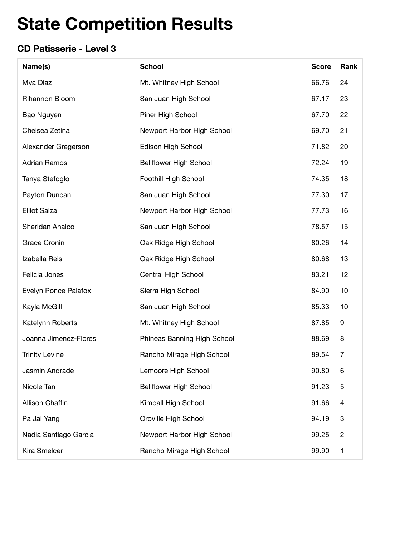# **CD Patisserie - Level 3**

| Name(s)               | <b>School</b>                 | <b>Score</b> | Rank           |
|-----------------------|-------------------------------|--------------|----------------|
| Mya Diaz              | Mt. Whitney High School       | 66.76        | 24             |
| Rihannon Bloom        | San Juan High School          | 67.17        | 23             |
| Bao Nguyen            | Piner High School             | 67.70        | 22             |
| Chelsea Zetina        | Newport Harbor High School    | 69.70        | 21             |
| Alexander Gregerson   | Edison High School            | 71.82        | 20             |
| <b>Adrian Ramos</b>   | <b>Bellflower High School</b> | 72.24        | 19             |
| Tanya Stefoglo        | Foothill High School          | 74.35        | 18             |
| Payton Duncan         | San Juan High School          | 77.30        | 17             |
| <b>Elliot Salza</b>   | Newport Harbor High School    | 77.73        | 16             |
| Sheridan Analco       | San Juan High School          | 78.57        | 15             |
| <b>Grace Cronin</b>   | Oak Ridge High School         | 80.26        | 14             |
| Izabella Reis         | Oak Ridge High School         | 80.68        | 13             |
| Felicia Jones         | Central High School           | 83.21        | 12             |
| Evelyn Ponce Palafox  | Sierra High School            | 84.90        | 10             |
| Kayla McGill          | San Juan High School          | 85.33        | 10             |
| Katelynn Roberts      | Mt. Whitney High School       | 87.85        | 9              |
| Joanna Jimenez-Flores | Phineas Banning High School   | 88.69        | 8              |
| <b>Trinity Levine</b> | Rancho Mirage High School     | 89.54        | $\overline{7}$ |
| Jasmin Andrade        | Lemoore High School           | 90.80        | 6              |
| Nicole Tan            | <b>Bellflower High School</b> | 91.23        | 5              |
| Allison Chaffin       | Kimball High School           | 91.66        | 4              |
| Pa Jai Yang           | Oroville High School          | 94.19        | 3              |
| Nadia Santiago Garcia | Newport Harbor High School    | 99.25        | $\overline{c}$ |
| Kira Smelcer          | Rancho Mirage High School     | 99.90        | 1              |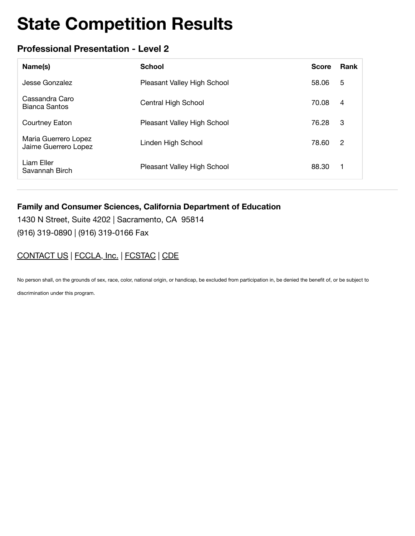# **Professional Presentation - Level 2**

| Name(s)                                      | <b>School</b>               | <b>Score</b> | <b>Rank</b>    |
|----------------------------------------------|-----------------------------|--------------|----------------|
| Jesse Gonzalez                               | Pleasant Valley High School | 58.06        | 5              |
| Cassandra Caro<br>Bianca Santos              | Central High School         | 70.08        | 4              |
| Courtney Eaton                               | Pleasant Valley High School | 76.28        | -3             |
| Maria Guerrero Lopez<br>Jaime Guerrero Lopez | Linden High School          | 78.60        | $\overline{c}$ |
| Liam Eller<br>Savannah Birch                 | Pleasant Valley High School | 88.30        | 1              |

#### **Family and Consumer Sciences, California Department of Education**

1430 N Street, Suite 4202 | Sacramento, CA 95814 (916) 319-0890 | (916) 319-0166 Fax

## CONTACT US | FCCLA, Inc. | FCSTAC | CDE

No person shall, on the grounds of sex, race, color, national origin, or handicap, be excluded from participation in, be denied the benefit of, or be subject to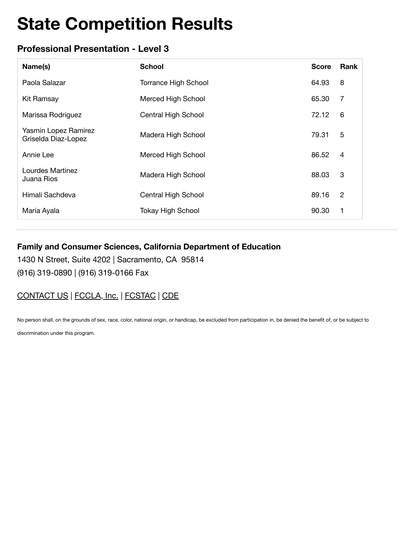## **Professional Presentation - Level 3**

| Name(s)                                     | <b>School</b>               | <b>Score</b> | Rank           |
|---------------------------------------------|-----------------------------|--------------|----------------|
| Paola Salazar                               | <b>Torrance High School</b> | 64.93        | 8              |
| <b>Kit Ramsay</b>                           | Merced High School          | 65.30        | 7              |
| Marissa Rodriguez                           | Central High School         | 72.12        | 6              |
| Yasmin Lopez Ramirez<br>Griselda Diaz-Lopez | Madera High School          | 79.31        | 5              |
| Annie Lee                                   | Merced High School          | 86.52        | $\overline{4}$ |
| Lourdes Martinez<br>Juana Rios              | Madera High School          | 88.03        | 3              |
| Himali Sachdeva                             | Central High School         | 89.16        | 2              |
| Maria Ayala                                 | <b>Tokay High School</b>    | 90.30        | 1              |

### **Family and Consumer Sciences, California Department of Education**

1430 N Street, Suite 4202 | Sacramento, CA 95814 (916) 319-0890 | (916) 319-0166 Fax

# CONTACT US | FCCLA, Inc. | FCSTAC | CDE

No person shall, on the grounds of sex, race, color, national origin, or handicap, be excluded from participation in, be denied the benefit of, or be subject to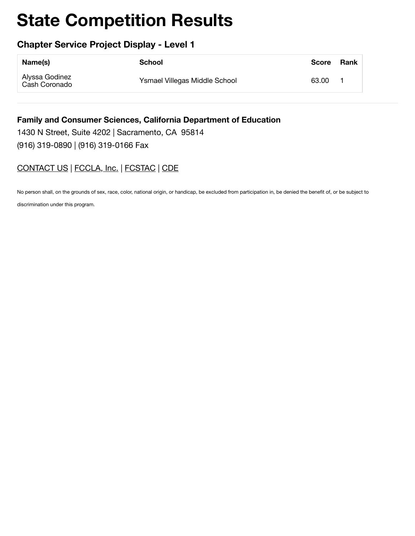### **Chapter Service Project Display - Level 1**

| Name(s)                         | School                        | <b>Score</b> | Rank |
|---------------------------------|-------------------------------|--------------|------|
| Alyssa Godinez<br>Cash Coronado | Ysmael Villegas Middle School | 63.00        |      |

# **Family and Consumer Sciences, California Department of Education**

1430 N Street, Suite 4202 | Sacramento, CA 95814 (916) 319-0890 | (916) 319-0166 Fax

## [CONTACT US](https://www.ca-fccla.org/!trash/contact-us/) | [FCCLA, Inc.](http://www.fcclainc.org/) | [FCSTAC](https://www.fcstac.org/) | [CDE](http://www.cde.ca.gov/ci/ct/he/)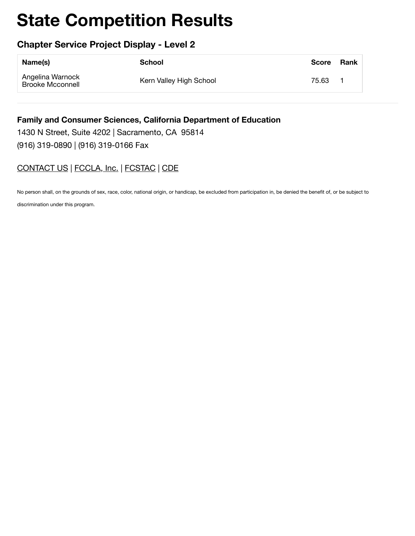## **Chapter Service Project Display - Level 2**

| Name(s)                                     | School                  | Score Rank |  |
|---------------------------------------------|-------------------------|------------|--|
| Angelina Warnock<br><b>Brooke Mcconnell</b> | Kern Valley High School | 75.63      |  |

**Family and Consumer Sciences, California Department of Education** 1430 N Street, Suite 4202 | Sacramento, CA 95814

(916) 319-0890 | (916) 319-0166 Fax

# [CONTACT US](https://www.ca-fccla.org/!trash/contact-us/) | [FCCLA, Inc.](http://www.fcclainc.org/) | [FCSTAC](https://www.fcstac.org/) | [CDE](http://www.cde.ca.gov/ci/ct/he/)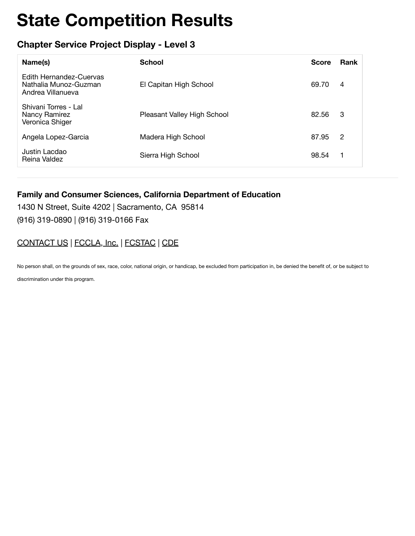## **Chapter Service Project Display - Level 3**

| Name(s)                                                               | <b>School</b>               | <b>Score</b> | Rank           |
|-----------------------------------------------------------------------|-----------------------------|--------------|----------------|
| Edith Hernandez-Cuervas<br>Nathalia Munoz-Guzman<br>Andrea Villanueva | El Capitan High School      | 69.70        | $\overline{4}$ |
| Shivani Torres - Lal<br>Nancy Ramirez<br>Veronica Shiger              | Pleasant Valley High School | 82.56        | 3              |
| Angela Lopez-Garcia                                                   | Madera High School          | 87.95        | 2              |
| Justin Lacdao<br>Reina Valdez                                         | Sierra High School          | 98.54        | 1              |

#### **Family and Consumer Sciences, California Department of Education**

1430 N Street, Suite 4202 | Sacramento, CA 95814 (916) 319-0890 | (916) 319-0166 Fax

### [CONTACT US](https://www.ca-fccla.org/!trash/contact-us/) | [FCCLA, Inc.](http://www.fcclainc.org/) | [FCSTAC](https://www.fcstac.org/) | [CDE](http://www.cde.ca.gov/ci/ct/he/)

No person shall, on the grounds of sex, race, color, national origin, or handicap, be excluded from participation in, be denied the benefit of, or be subject to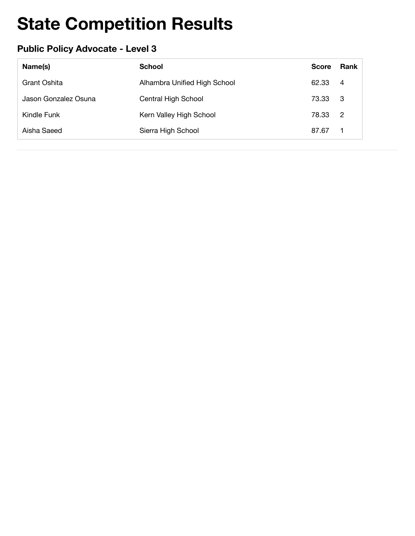# **Public Policy Advocate - Level 3**

| Name(s)              | <b>School</b>                | <b>Score</b> | Rank           |
|----------------------|------------------------------|--------------|----------------|
| Grant Oshita         | Alhambra Unified High School | 62.33        | -4             |
| Jason Gonzalez Osuna | Central High School          | 73.33        | - 3            |
| Kindle Funk          | Kern Valley High School      | 78.33        | $\overline{2}$ |
| Aisha Saeed          | Sierra High School           | 87.67        | $\mathbf{1}$   |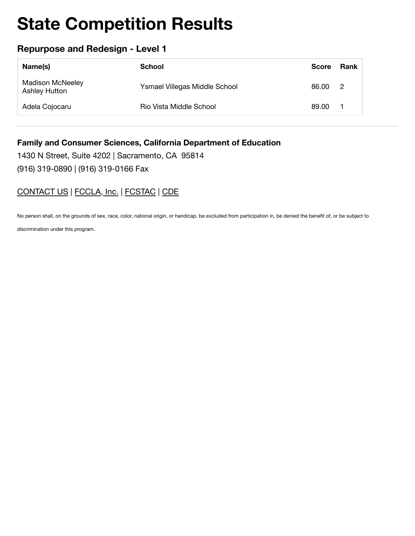## **Repurpose and Redesign - Level 1**

| Name(s)                                  | School                        | <b>Score</b> | Rank           |
|------------------------------------------|-------------------------------|--------------|----------------|
| <b>Madison McNeeley</b><br>Ashley Hutton | Ysmael Villegas Middle School | 86.00        | $\overline{2}$ |
| Adela Cojocaru                           | Rio Vista Middle School       | 89.00        |                |

#### **Family and Consumer Sciences, California Department of Education**

1430 N Street, Suite 4202 | Sacramento, CA 95814 (916) 319-0890 | (916) 319-0166 Fax

### CONTACT US | FCCLA, Inc. | FCSTAC | CDE

No person shall, on the grounds of sex, race, color, national origin, or handicap, be excluded from participation in, be denied the benefit of, or be subject to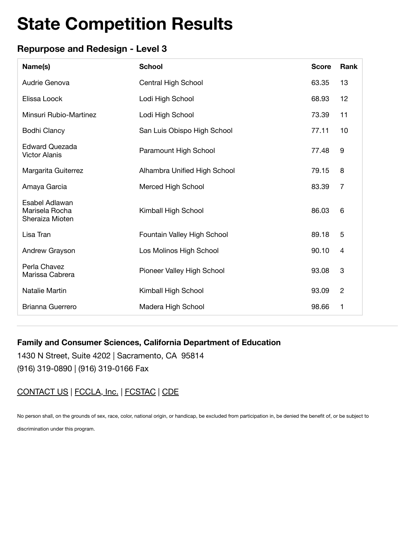## **Repurpose and Redesign - Level 3**

| Name(s)                                             | <b>School</b>                | <b>Score</b> | Rank           |
|-----------------------------------------------------|------------------------------|--------------|----------------|
| Audrie Genova                                       | Central High School          | 63.35        | 13             |
| Elissa Loock                                        | Lodi High School             | 68.93        | 12             |
| Minsuri Rubio-Martinez                              | Lodi High School             | 73.39        | 11             |
| <b>Bodhi Clancy</b>                                 | San Luis Obispo High School  | 77.11        | 10             |
| <b>Edward Quezada</b><br><b>Victor Alanis</b>       | Paramount High School        | 77.48        | 9              |
| Margarita Guiterrez                                 | Alhambra Unified High School | 79.15        | 8              |
| Amaya Garcia                                        | Merced High School           | 83.39        | $\overline{7}$ |
| Esabel Adlawan<br>Marisela Rocha<br>Sheraiza Mioten | Kimball High School          | 86.03        | 6              |
| Lisa Tran                                           | Fountain Valley High School  | 89.18        | 5              |
| Andrew Grayson                                      | Los Molinos High School      | 90.10        | $\overline{4}$ |
| Perla Chavez<br>Marissa Cabrera                     | Pioneer Valley High School   | 93.08        | 3              |
| Natalie Martin                                      | Kimball High School          | 93.09        | $\overline{2}$ |
| Brianna Guerrero                                    | Madera High School           | 98.66        | 1              |

#### **Family and Consumer Sciences, California Department of Education**

1430 N Street, Suite 4202 | Sacramento, CA 95814 (916) 319-0890 | (916) 319-0166 Fax

### CONTACT US | FCCLA, Inc. | FCSTAC | CDE

No person shall, on the grounds of sex, race, color, national origin, or handicap, be excluded from participation in, be denied the benefit of, or be subject to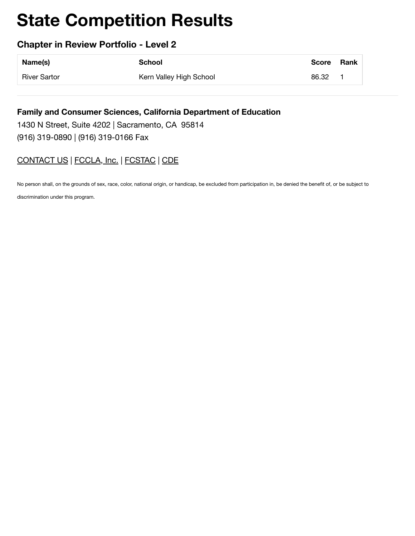### **Chapter in Review Portfolio - Level 2**

| Name(s)      | <b>School</b>           | Score | Rank |
|--------------|-------------------------|-------|------|
| River Sartor | Kern Valley High School | 86.32 |      |

#### **Family and Consumer Sciences, California Department of Education**

1430 N Street, Suite 4202 | Sacramento, CA 95814 (916) 319-0890 | (916) 319-0166 Fax

## [CONTACT US](https://www.ca-fccla.org/!trash/contact-us/) | [FCCLA, Inc.](http://www.fcclainc.org/) | [FCSTAC](https://www.fcstac.org/) | [CDE](http://www.cde.ca.gov/ci/ct/he/)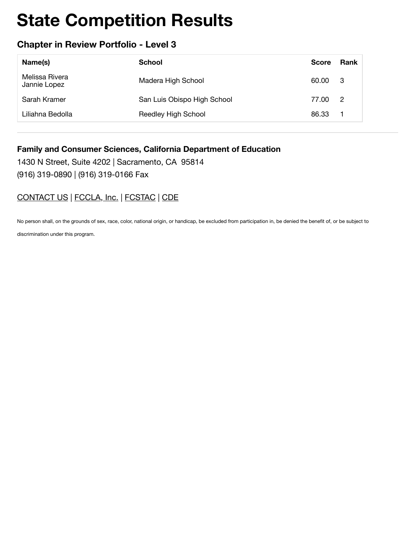### **Chapter in Review Portfolio - Level 3**

| Name(s)                        | School                      | <b>Score</b> | <b>Rank</b>                |
|--------------------------------|-----------------------------|--------------|----------------------------|
| Melissa Rivera<br>Jannie Lopez | Madera High School          | 60.00        | - 3                        |
| Sarah Kramer                   | San Luis Obispo High School | 77.00        | $\overline{\phantom{a}}^2$ |
| Liliahna Bedolla               | Reedley High School         | 86.33        |                            |

#### **Family and Consumer Sciences, California Department of Education**

1430 N Street, Suite 4202 | Sacramento, CA 95814 (916) 319-0890 | (916) 319-0166 Fax

### [CONTACT US](https://www.ca-fccla.org/!trash/contact-us/) | [FCCLA, Inc.](http://www.fcclainc.org/) | [FCSTAC](https://www.fcstac.org/) | [CDE](http://www.cde.ca.gov/ci/ct/he/)

No person shall, on the grounds of sex, race, color, national origin, or handicap, be excluded from participation in, be denied the benefit of, or be subject to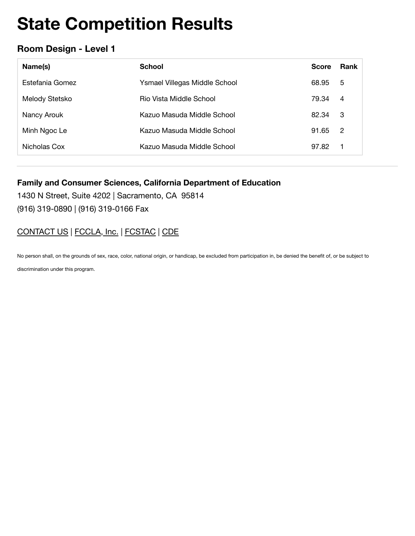### **Room Design - Level 1**

| Name(s)         | <b>School</b>                 | <b>Score</b> | <b>Rank</b>    |
|-----------------|-------------------------------|--------------|----------------|
| Estefania Gomez | Ysmael Villegas Middle School | 68.95        | 5              |
| Melody Stetsko  | Rio Vista Middle School       | 79.34        | 4              |
| Nancy Arouk     | Kazuo Masuda Middle School    | 82.34        | -3             |
| Minh Ngoc Le    | Kazuo Masuda Middle School    | 91.65        | $\overline{2}$ |
| Nicholas Cox    | Kazuo Masuda Middle School    | 97.82        | 1              |

#### **Family and Consumer Sciences, California Department of Education**

1430 N Street, Suite 4202 | Sacramento, CA 95814 (916) 319-0890 | (916) 319-0166 Fax

# CONTACT US | FCCLA, Inc. | FCSTAC | CDE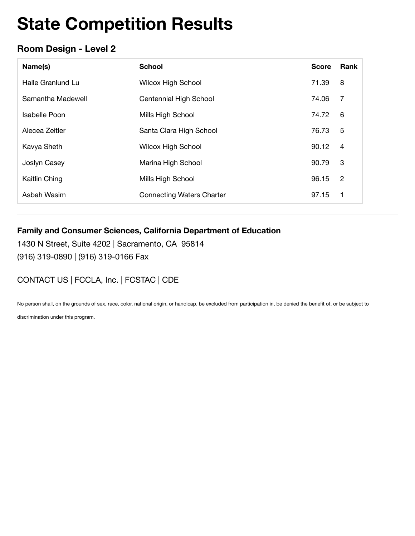# **Room Design - Level 2**

| Name(s)           | <b>School</b>                    | <b>Score</b> | Rank           |
|-------------------|----------------------------------|--------------|----------------|
| Halle Granlund Lu | <b>Wilcox High School</b>        | 71.39        | 8              |
| Samantha Madewell | Centennial High School           | 74.06        | 7              |
| Isabelle Poon     | Mills High School                | 74.72        | 6              |
| Alecea Zeitler    | Santa Clara High School          | 76.73        | 5              |
| Kavya Sheth       | <b>Wilcox High School</b>        | 90.12        | $\overline{4}$ |
| Joslyn Casey      | Marina High School               | 90.79        | 3              |
| Kaitlin Ching     | Mills High School                | 96.15        | $\overline{2}$ |
| Asbah Wasim       | <b>Connecting Waters Charter</b> | 97.15        | 1              |

### **Family and Consumer Sciences, California Department of Education**

1430 N Street, Suite 4202 | Sacramento, CA 95814 (916) 319-0890 | (916) 319-0166 Fax

# CONTACT US | FCCLA, Inc. | FCSTAC | CDE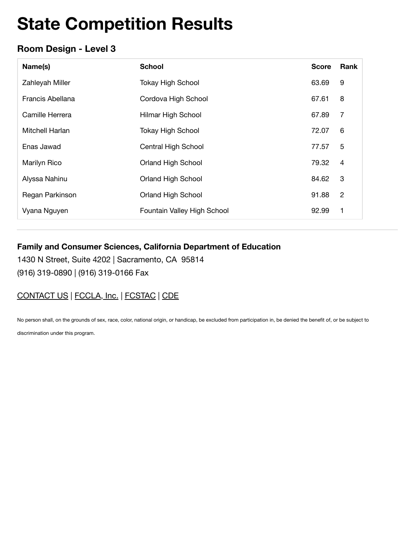## **Room Design - Level 3**

| Name(s)          | <b>School</b>               | <b>Score</b> | Rank           |
|------------------|-----------------------------|--------------|----------------|
| Zahleyah Miller  | <b>Tokay High School</b>    | 63.69        | 9              |
| Francis Abellana | Cordova High School         | 67.61        | 8              |
| Camille Herrera  | Hilmar High School          | 67.89        | $\overline{7}$ |
| Mitchell Harlan  | <b>Tokay High School</b>    | 72.07        | 6              |
| Enas Jawad       | Central High School         | 77.57        | 5              |
| Marilyn Rico     | <b>Orland High School</b>   | 79.32        | $\overline{4}$ |
| Alyssa Nahinu    | Orland High School          | 84.62        | 3              |
| Regan Parkinson  | <b>Orland High School</b>   | 91.88        | $\overline{2}$ |
| Vyana Nguyen     | Fountain Valley High School | 92.99        | 1              |

#### **Family and Consumer Sciences, California Department of Education**

1430 N Street, Suite 4202 | Sacramento, CA 95814 (916) 319-0890 | (916) 319-0166 Fax

# CONTACT US | FCCLA, Inc. | FCSTAC | CDE

No person shall, on the grounds of sex, race, color, national origin, or handicap, be excluded from participation in, be denied the benefit of, or be subject to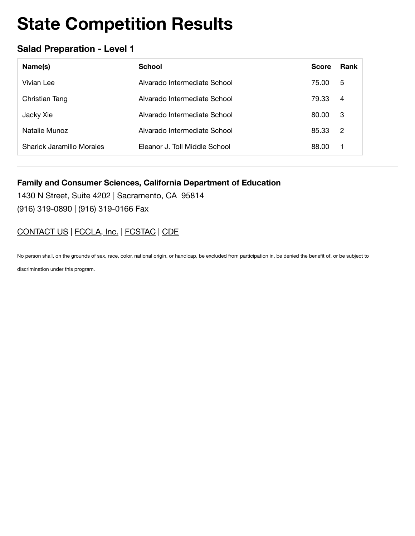## **Salad Preparation - Level 1**

| Name(s)                   | <b>School</b>                 | <b>Score</b> | Rank           |
|---------------------------|-------------------------------|--------------|----------------|
| Vivian Lee                | Alvarado Intermediate School  | 75.00        | 5              |
| Christian Tang            | Alvarado Intermediate School  | 79.33        | $\overline{4}$ |
| Jacky Xie                 | Alvarado Intermediate School  | 80.00        | -3             |
| Natalie Munoz             | Alvarado Intermediate School  | 85.33        | $\overline{2}$ |
| Sharick Jaramillo Morales | Eleanor J. Toll Middle School | 88.00        |                |

#### **Family and Consumer Sciences, California Department of Education**

1430 N Street, Suite 4202 | Sacramento, CA 95814 (916) 319-0890 | (916) 319-0166 Fax

# CONTACT US | FCCLA, Inc. | FCSTAC | CDE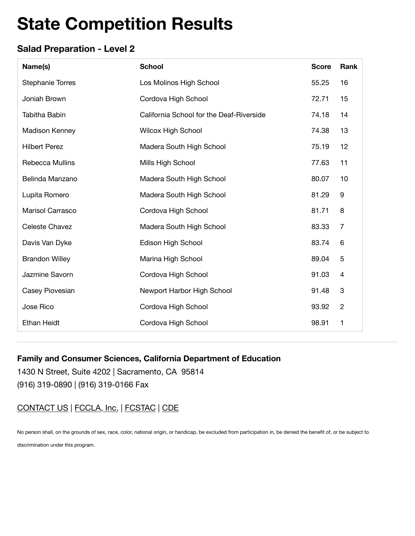# **Salad Preparation - Level 2**

| Name(s)                 | <b>School</b>                            | <b>Score</b> | Rank             |
|-------------------------|------------------------------------------|--------------|------------------|
| <b>Stephanie Torres</b> | Los Molinos High School                  | 55.25        | 16               |
| Joniah Brown            | Cordova High School                      | 72.71        | 15               |
| Tabitha Babin           | California School for the Deaf-Riverside | 74.18        | 14               |
| <b>Madison Kenney</b>   | Wilcox High School                       | 74.38        | 13               |
| <b>Hilbert Perez</b>    | Madera South High School                 | 75.19        | 12               |
| Rebecca Mullins         | Mills High School                        | 77.63        | 11               |
| Belinda Manzano         | Madera South High School                 | 80.07        | 10               |
| Lupita Romero           | Madera South High School                 | 81.29        | $\boldsymbol{9}$ |
| Marisol Carrasco        | Cordova High School                      | 81.71        | 8                |
| Celeste Chavez          | Madera South High School                 | 83.33        | $\overline{7}$   |
| Davis Van Dyke          | Edison High School                       | 83.74        | 6                |
| <b>Brandon Willey</b>   | Marina High School                       | 89.04        | 5                |
| Jazmine Savorn          | Cordova High School                      | 91.03        | $\overline{4}$   |
| Casey Piovesian         | Newport Harbor High School               | 91.48        | 3                |
| Jose Rico               | Cordova High School                      | 93.92        | $\overline{c}$   |
| <b>Ethan Heidt</b>      | Cordova High School                      | 98.91        | $\mathbf 1$      |

#### **Family and Consumer Sciences, California Department of Education**

1430 N Street, Suite 4202 | Sacramento, CA 95814 (916) 319-0890 | (916) 319-0166 Fax

CONTACT US | FCCLA, Inc. | FCSTAC | CDE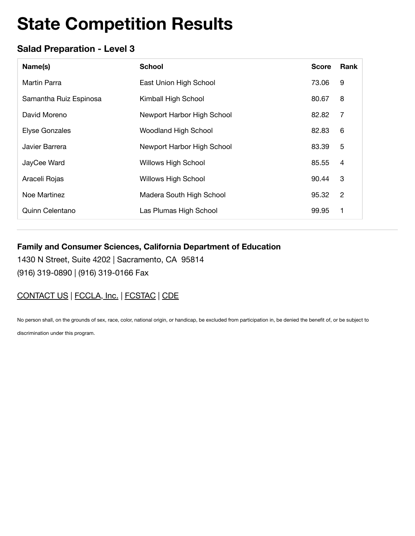## **Salad Preparation - Level 3**

| Name(s)                | <b>School</b>               | <b>Score</b> | Rank           |
|------------------------|-----------------------------|--------------|----------------|
| Martin Parra           | East Union High School      | 73.06        | 9              |
| Samantha Ruiz Espinosa | Kimball High School         | 80.67        | 8              |
| David Moreno           | Newport Harbor High School  | 82.82        | 7              |
| <b>Elyse Gonzales</b>  | <b>Woodland High School</b> | 82.83        | 6              |
| Javier Barrera         | Newport Harbor High School  | 83.39        | 5              |
| JayCee Ward            | <b>Willows High School</b>  | 85.55        | $\overline{4}$ |
| Araceli Rojas          | <b>Willows High School</b>  | 90.44        | 3              |
| Noe Martinez           | Madera South High School    | 95.32        | 2              |
| Quinn Celentano        | Las Plumas High School      | 99.95        | 1              |

#### **Family and Consumer Sciences, California Department of Education**

1430 N Street, Suite 4202 | Sacramento, CA 95814 (916) 319-0890 | (916) 319-0166 Fax

# CONTACT US | FCCLA, Inc. | FCSTAC | CDE

No person shall, on the grounds of sex, race, color, national origin, or handicap, be excluded from participation in, be denied the benefit of, or be subject to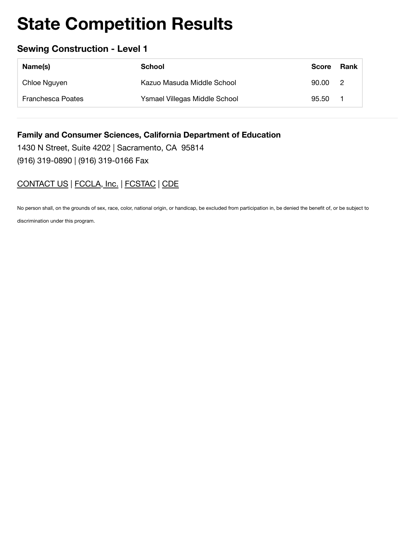# **Sewing Construction - Level 1**

| Name(s)                  | School                        | <b>Score</b> | Rank           |
|--------------------------|-------------------------------|--------------|----------------|
| Chloe Nguyen             | Kazuo Masuda Middle School    | 90.00        | $\overline{2}$ |
| <b>Franchesca Poates</b> | Ysmael Villegas Middle School | 95.50        |                |

#### **Family and Consumer Sciences, California Department of Education**

1430 N Street, Suite 4202 | Sacramento, CA 95814 (916) 319-0890 | (916) 319-0166 Fax

## CONTACT US | FCCLA, Inc. | FCSTAC | CDE

No person shall, on the grounds of sex, race, color, national origin, or handicap, be excluded from participation in, be denied the benefit of, or be subject to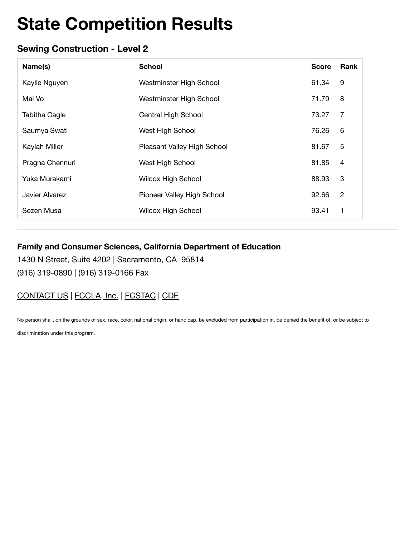### **Sewing Construction - Level 2**

| Name(s)              | <b>School</b>               | <b>Score</b> | <b>Rank</b>    |
|----------------------|-----------------------------|--------------|----------------|
| Kaylie Nguyen        | Westminster High School     | 61.34        | 9              |
| Mai Vo               | Westminster High School     | 71.79        | 8              |
| <b>Tabitha Cagle</b> | Central High School         | 73.27        | 7              |
| Saumya Swati         | West High School            | 76.26        | 6              |
| Kaylah Miller        | Pleasant Valley High School | 81.67        | 5              |
| Pragna Chennuri      | West High School            | 81.85        | $\overline{4}$ |
| Yuka Murakami        | <b>Wilcox High School</b>   | 88.93        | 3              |
| Javier Alvarez       | Pioneer Valley High School  | 92.66        | $\overline{2}$ |
| Sezen Musa           | <b>Wilcox High School</b>   | 93.41        | 1              |

### **Family and Consumer Sciences, California Department of Education**

1430 N Street, Suite 4202 | Sacramento, CA 95814 (916) 319-0890 | (916) 319-0166 Fax

# CONTACT US | FCCLA, Inc. | FCSTAC | CDE

No person shall, on the grounds of sex, race, color, national origin, or handicap, be excluded from participation in, be denied the benefit of, or be subject to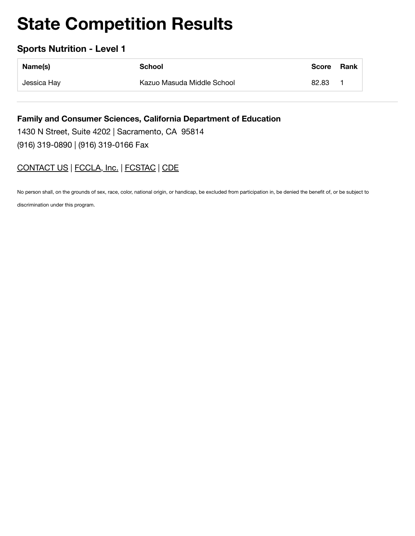### **Sports Nutrition - Level 1**

| Name(s)     | School                     | Score | Rank |
|-------------|----------------------------|-------|------|
| Jessica Hay | Kazuo Masuda Middle School | 82.83 |      |

**Family and Consumer Sciences, California Department of Education** 1430 N Street, Suite 4202 | Sacramento, CA 95814 (916) 319-0890 | (916) 319-0166 Fax

## CONTACT US | FCCLA, Inc. | FCSTAC | CDE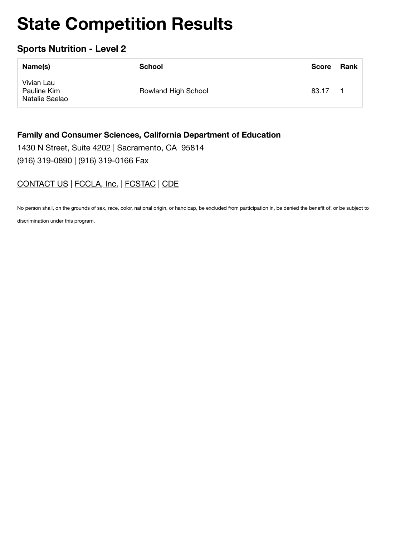## **Sports Nutrition - Level 2**

| Name(s)                                     | School              | <b>Score</b> | Rank |
|---------------------------------------------|---------------------|--------------|------|
| Vivian Lau<br>Pauline Kim<br>Natalie Saelao | Rowland High School | 83.17        |      |

#### **Family and Consumer Sciences, California Department of Education**

1430 N Street, Suite 4202 | Sacramento, CA 95814 (916) 319-0890 | (916) 319-0166 Fax

## CONTACT US | FCCLA, Inc. | FCSTAC | CDE

No person shall, on the grounds of sex, race, color, national origin, or handicap, be excluded from participation in, be denied the benefit of, or be subject to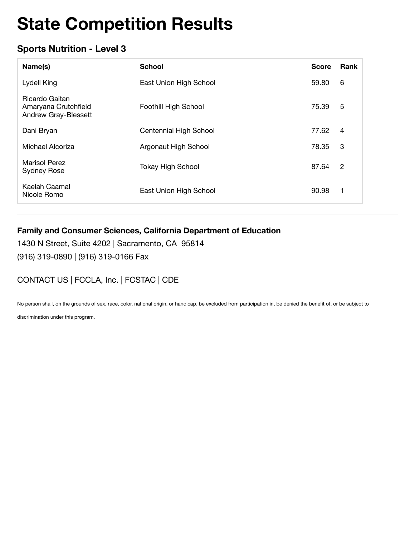# **Sports Nutrition - Level 3**

| Name(s)                                                               | <b>School</b>            | <b>Score</b> | Rank           |
|-----------------------------------------------------------------------|--------------------------|--------------|----------------|
| Lydell King                                                           | East Union High School   | 59.80        | 6              |
| Ricardo Gaitan<br>Amaryana Crutchfield<br><b>Andrew Gray-Blessett</b> | Foothill High School     | 75.39        | 5              |
| Dani Bryan                                                            | Centennial High School   | 77.62        | 4              |
| Michael Alcoriza                                                      | Argonaut High School     | 78.35        | 3              |
| <b>Marisol Perez</b><br><b>Sydney Rose</b>                            | <b>Tokay High School</b> | 87.64        | $\overline{2}$ |
| Kaelah Caamal<br>Nicole Romo                                          | East Union High School   | 90.98        | 1              |

### **Family and Consumer Sciences, California Department of Education**

1430 N Street, Suite 4202 | Sacramento, CA 95814 (916) 319-0890 | (916) 319-0166 Fax

# CONTACT US | FCCLA, Inc. | FCSTAC | CDE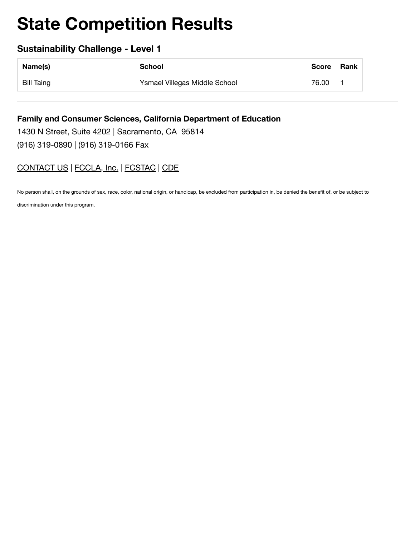### **Sustainability Challenge - Level 1**

| Name(s)           | School                        | Score | Rank |
|-------------------|-------------------------------|-------|------|
| <b>Bill Taing</b> | Ysmael Villegas Middle School | 76.00 |      |

**Family and Consumer Sciences, California Department of Education** 1430 N Street, Suite 4202 | Sacramento, CA 95814 (916) 319-0890 | (916) 319-0166 Fax

## CONTACT US | FCCLA, Inc. | FCSTAC | CDE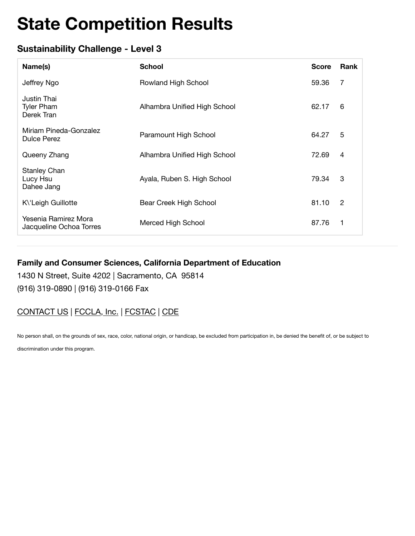## **Sustainability Challenge - Level 3**

| Name(s)                                         | <b>School</b>                | <b>Score</b> | Rank           |
|-------------------------------------------------|------------------------------|--------------|----------------|
| Jeffrey Ngo                                     | Rowland High School          | 59.36        | 7              |
| Justin Thai<br><b>Tyler Pham</b><br>Derek Tran  | Alhambra Unified High School | 62.17        | 6              |
| Miriam Pineda-Gonzalez<br><b>Dulce Perez</b>    | Paramount High School        | 64.27        | 5              |
| Queeny Zhang                                    | Alhambra Unified High School | 72.69        | 4              |
| <b>Stanley Chan</b><br>Lucy Hsu<br>Dahee Jang   | Ayala, Ruben S. High School  | 79.34        | 3              |
| K\'Leigh Guillotte                              | Bear Creek High School       | 81.10        | $\overline{2}$ |
| Yesenia Ramirez Mora<br>Jacqueline Ochoa Torres | Merced High School           | 87.76        | 1              |

#### **Family and Consumer Sciences, California Department of Education**

1430 N Street, Suite 4202 | Sacramento, CA 95814 (916) 319-0890 | (916) 319-0166 Fax

### CONTACT US | FCCLA, Inc. | FCSTAC | CDE

No person shall, on the grounds of sex, race, color, national origin, or handicap, be excluded from participation in, be denied the benefit of, or be subject to